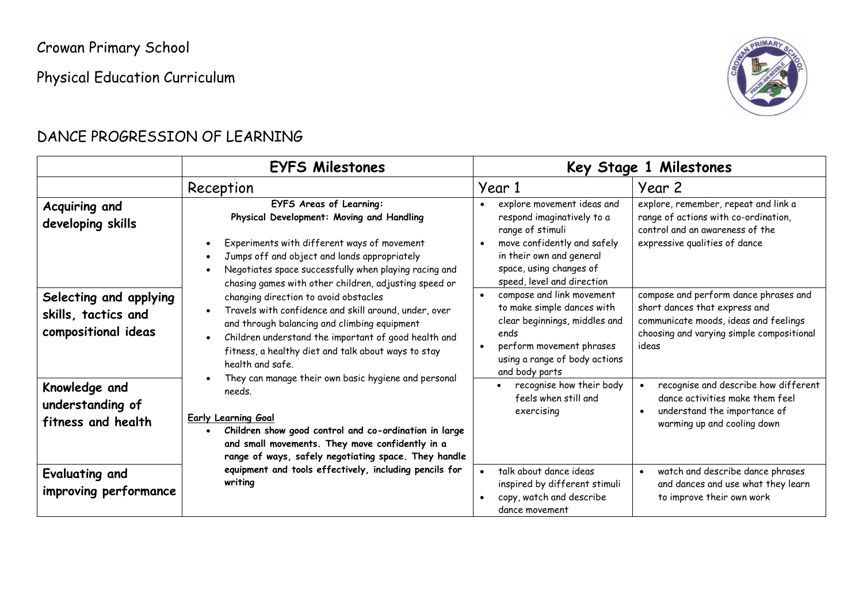Crowan Primary School

Physical Education Curriculum



#### DANCE PROGRESSION OF LEARNING

|                                                              | <b>EYFS Milestones</b>                                                                                                                                                                                                                                                                                                                                                                                                                                           |                                                                                                                                                                                                                                                                                                    | Key Stage 1 Milestones                                                                                                                                                                                                     |
|--------------------------------------------------------------|------------------------------------------------------------------------------------------------------------------------------------------------------------------------------------------------------------------------------------------------------------------------------------------------------------------------------------------------------------------------------------------------------------------------------------------------------------------|----------------------------------------------------------------------------------------------------------------------------------------------------------------------------------------------------------------------------------------------------------------------------------------------------|----------------------------------------------------------------------------------------------------------------------------------------------------------------------------------------------------------------------------|
|                                                              | Reception                                                                                                                                                                                                                                                                                                                                                                                                                                                        | Year 1                                                                                                                                                                                                                                                                                             | Year 2                                                                                                                                                                                                                     |
| Acquiring and<br>developing skills<br>Selecting and applying | <b>EYFS Areas of Learning:</b><br>Physical Development: Moving and Handling<br>Experiments with different ways of movement<br>Jumps off and object and lands appropriately<br>$\bullet$<br>Negotiates space successfully when playing racing and<br>chasing games with other children, adjusting speed or<br>changing direction to avoid obstacles<br>Travels with confidence and skill around, under, over<br>$\bullet$                                         | explore movement ideas and<br>$\bullet$<br>respond imaginatively to a<br>range of stimuli<br>move confidently and safely<br>$\bullet$<br>in their own and general<br>space, using changes of<br>speed, level and direction<br>compose and link movement<br>$\bullet$<br>to make simple dances with | explore, remember, repeat and link a<br>range of actions with co-ordination,<br>control and an awareness of the<br>expressive qualities of dance<br>compose and perform dance phrases and<br>short dances that express and |
| skills, tactics and<br>compositional ideas                   | and through balancing and climbing equipment<br>Children understand the important of good health and<br>$\bullet$<br>fitness, a healthy diet and talk about ways to stay<br>health and safe.<br>They can manage their own basic hygiene and personal<br>needs.<br><b>Early Learning Goal</b><br>Children show good control and co-ordination in large<br>and small movements. They move confidently in a<br>range of ways, safely negotiating space. They handle | clear beginnings, middles and<br>ends<br>perform movement phrases<br>using a range of body actions<br>and body parts                                                                                                                                                                               | communicate moods, ideas and feelings<br>choosing and varying simple compositional<br>ideas                                                                                                                                |
| Knowledge and<br>understanding of<br>fitness and health      |                                                                                                                                                                                                                                                                                                                                                                                                                                                                  | recognise how their body<br>feels when still and<br>exercising                                                                                                                                                                                                                                     | recognise and describe how different<br>$\bullet$<br>dance activities make them feel<br>understand the importance of<br>$\bullet$<br>warming up and cooling down                                                           |
| Evaluating and<br>improving performance                      | equipment and tools effectively, including pencils for<br>writing                                                                                                                                                                                                                                                                                                                                                                                                | talk about dance ideas<br>$\bullet$<br>inspired by different stimuli<br>copy, watch and describe<br>dance movement                                                                                                                                                                                 | watch and describe dance phrases<br>$\bullet$<br>and dances and use what they learn<br>to improve their own work                                                                                                           |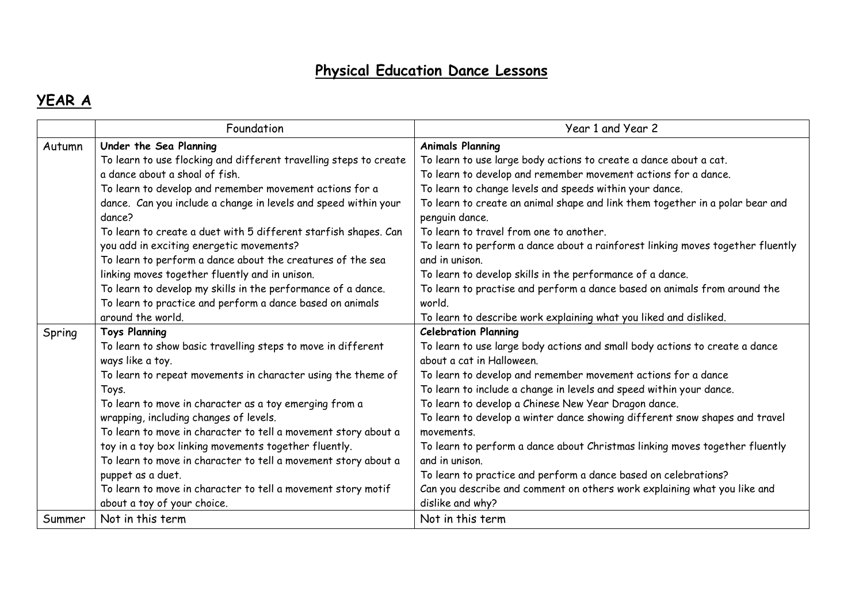## **Physical Education Dance Lessons**

## **YEAR A**

|        | Foundation                                                                | Year 1 and Year 2                                                                               |
|--------|---------------------------------------------------------------------------|-------------------------------------------------------------------------------------------------|
| Autumn | Under the Sea Planning                                                    | <b>Animals Planning</b>                                                                         |
|        | To learn to use flocking and different travelling steps to create         | To learn to use large body actions to create a dance about a cat.                               |
|        | a dance about a shoal of fish.                                            | To learn to develop and remember movement actions for a dance.                                  |
|        | To learn to develop and remember movement actions for a                   | To learn to change levels and speeds within your dance.                                         |
|        | dance. Can you include a change in levels and speed within your<br>dance? | To learn to create an animal shape and link them together in a polar bear and<br>penguin dance. |
|        | To learn to create a duet with 5 different starfish shapes. Can           | To learn to travel from one to another.                                                         |
|        | you add in exciting energetic movements?                                  | To learn to perform a dance about a rainforest linking moves together fluently                  |
|        | To learn to perform a dance about the creatures of the sea                | and in unison.                                                                                  |
|        | linking moves together fluently and in unison.                            | To learn to develop skills in the performance of a dance.                                       |
|        | To learn to develop my skills in the performance of a dance.              | To learn to practise and perform a dance based on animals from around the                       |
|        | To learn to practice and perform a dance based on animals                 | world.                                                                                          |
|        | around the world.                                                         | To learn to describe work explaining what you liked and disliked.                               |
| Spring | <b>Toys Planning</b>                                                      | <b>Celebration Planning</b>                                                                     |
|        | To learn to show basic travelling steps to move in different              | To learn to use large body actions and small body actions to create a dance                     |
|        | ways like a toy.                                                          | about a cat in Halloween.                                                                       |
|        | To learn to repeat movements in character using the theme of              | To learn to develop and remember movement actions for a dance                                   |
|        | Toys.                                                                     | To learn to include a change in levels and speed within your dance.                             |
|        | To learn to move in character as a toy emerging from a                    | To learn to develop a Chinese New Year Dragon dance.                                            |
|        | wrapping, including changes of levels.                                    | To learn to develop a winter dance showing different snow shapes and travel                     |
|        | To learn to move in character to tell a movement story about a            | movements.                                                                                      |
|        | toy in a toy box linking movements together fluently.                     | To learn to perform a dance about Christmas linking moves together fluently                     |
|        | To learn to move in character to tell a movement story about a            | and in unison.                                                                                  |
|        | puppet as a duet.                                                         | To learn to practice and perform a dance based on celebrations?                                 |
|        | To learn to move in character to tell a movement story motif              | Can you describe and comment on others work explaining what you like and                        |
|        | about a toy of your choice.                                               | dislike and why?                                                                                |
| Summer | Not in this term                                                          | Not in this term                                                                                |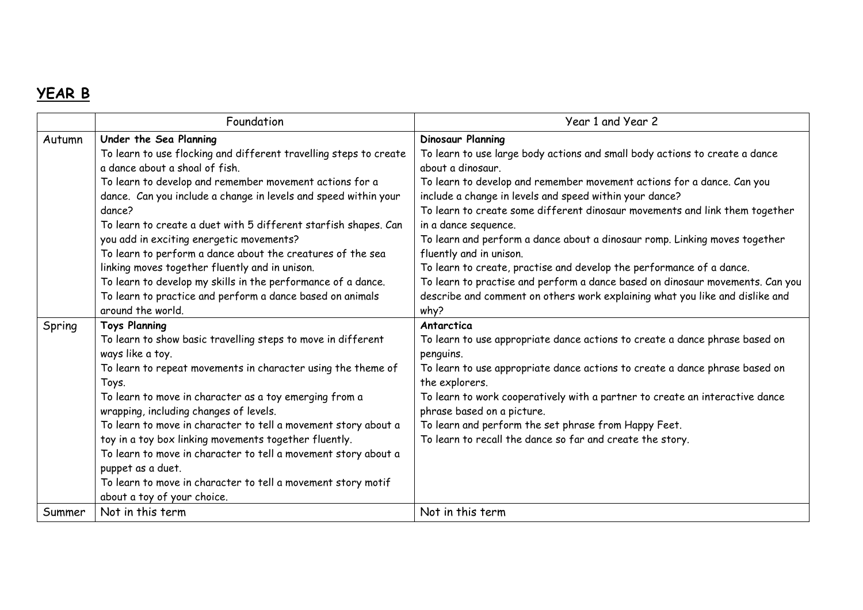## **YEAR B**

|        | Foundation                                                                                               | Year 1 and Year 2                                                                                                 |
|--------|----------------------------------------------------------------------------------------------------------|-------------------------------------------------------------------------------------------------------------------|
| Autumn | Under the Sea Planning                                                                                   | <b>Dinosaur Planning</b>                                                                                          |
|        | To learn to use flocking and different travelling steps to create                                        | To learn to use large body actions and small body actions to create a dance                                       |
|        | a dance about a shoal of fish.                                                                           | about a dinosaur.                                                                                                 |
|        | To learn to develop and remember movement actions for a                                                  | To learn to develop and remember movement actions for a dance. Can you                                            |
|        | dance. Can you include a change in levels and speed within your                                          | include a change in levels and speed within your dance?                                                           |
|        | dance?                                                                                                   | To learn to create some different dinosaur movements and link them together                                       |
|        | To learn to create a duet with 5 different starfish shapes. Can                                          | in a dance sequence.                                                                                              |
|        | you add in exciting energetic movements?                                                                 | To learn and perform a dance about a dinosaur romp. Linking moves together                                        |
|        | To learn to perform a dance about the creatures of the sea                                               | fluently and in unison.                                                                                           |
|        | linking moves together fluently and in unison.                                                           | To learn to create, practise and develop the performance of a dance.                                              |
|        | To learn to develop my skills in the performance of a dance.                                             | To learn to practise and perform a dance based on dinosaur movements. Can you                                     |
|        | To learn to practice and perform a dance based on animals                                                | describe and comment on others work explaining what you like and dislike and                                      |
|        | around the world.                                                                                        | why?                                                                                                              |
| Spring | <b>Toys Planning</b>                                                                                     | Antarctica                                                                                                        |
|        | To learn to show basic travelling steps to move in different                                             | To learn to use appropriate dance actions to create a dance phrase based on                                       |
|        | ways like a toy.                                                                                         | penguins.                                                                                                         |
|        | To learn to repeat movements in character using the theme of                                             | To learn to use appropriate dance actions to create a dance phrase based on                                       |
|        | Toys.                                                                                                    | the explorers.                                                                                                    |
|        | To learn to move in character as a toy emerging from a                                                   | To learn to work cooperatively with a partner to create an interactive dance                                      |
|        | wrapping, including changes of levels.<br>To learn to move in character to tell a movement story about a | phrase based on a picture.                                                                                        |
|        |                                                                                                          | To learn and perform the set phrase from Happy Feet.<br>To learn to recall the dance so far and create the story. |
|        | toy in a toy box linking movements together fluently.                                                    |                                                                                                                   |
|        | To learn to move in character to tell a movement story about a<br>puppet as a duet.                      |                                                                                                                   |
|        | To learn to move in character to tell a movement story motif                                             |                                                                                                                   |
|        | about a toy of your choice.                                                                              |                                                                                                                   |
| Summer | Not in this term                                                                                         | Not in this term                                                                                                  |
|        |                                                                                                          |                                                                                                                   |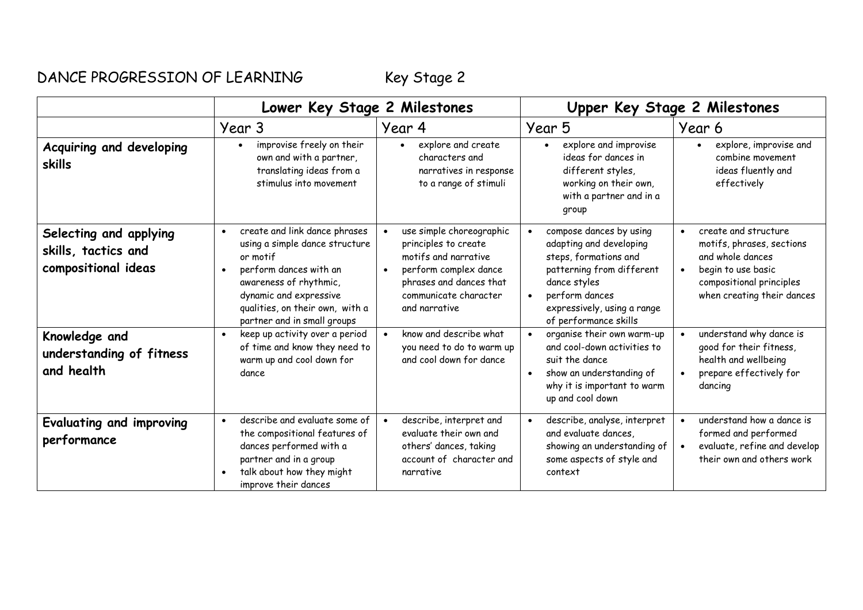## DANCE PROGRESSION OF LEARNING Key Stage 2

|                                                                      | Lower Key Stage 2 Milestones                                                                                                                                                                                                                          |                                                                                                                                                                        | Upper Key Stage 2 Milestones                                                                                                                                                                                    |                                                                                                                                                       |
|----------------------------------------------------------------------|-------------------------------------------------------------------------------------------------------------------------------------------------------------------------------------------------------------------------------------------------------|------------------------------------------------------------------------------------------------------------------------------------------------------------------------|-----------------------------------------------------------------------------------------------------------------------------------------------------------------------------------------------------------------|-------------------------------------------------------------------------------------------------------------------------------------------------------|
|                                                                      | Year 3                                                                                                                                                                                                                                                | Year 4                                                                                                                                                                 | Year 5                                                                                                                                                                                                          | Year 6                                                                                                                                                |
| Acquiring and developing<br>skills                                   | improvise freely on their<br>$\bullet$<br>own and with a partner,<br>translating ideas from a<br>stimulus into movement                                                                                                                               | explore and create<br>characters and<br>narratives in response<br>to a range of stimuli                                                                                | explore and improvise<br>$\bullet$<br>ideas for dances in<br>different styles,<br>working on their own,<br>with a partner and in a<br>group                                                                     | explore, improvise and<br>combine movement<br>ideas fluently and<br>effectively                                                                       |
| Selecting and applying<br>skills, tactics and<br>compositional ideas | create and link dance phrases<br>$\bullet$<br>using a simple dance structure<br>or motif<br>perform dances with an<br>$\bullet$<br>awareness of rhythmic,<br>dynamic and expressive<br>qualities, on their own, with a<br>partner and in small groups | use simple choreographic<br>principles to create<br>motifs and narrative<br>perform complex dance<br>phrases and dances that<br>communicate character<br>and narrative | compose dances by using<br>adapting and developing<br>steps, formations and<br>patterning from different<br>dance styles<br>perform dances<br>$\bullet$<br>expressively, using a range<br>of performance skills | create and structure<br>motifs, phrases, sections<br>and whole dances<br>begin to use basic<br>compositional principles<br>when creating their dances |
| Knowledge and<br>understanding of fitness<br>and health              | keep up activity over a period<br>of time and know they need to<br>warm up and cool down for<br>dance                                                                                                                                                 | know and describe what<br>$\bullet$<br>you need to do to warm up<br>and cool down for dance                                                                            | organise their own warm-up<br>and cool-down activities to<br>suit the dance<br>show an understanding of<br>$\bullet$<br>why it is important to warm<br>up and cool down                                         | understand why dance is<br>good for their fitness,<br>health and wellbeing<br>prepare effectively for<br>dancing                                      |
| Evaluating and improving<br>performance                              | describe and evaluate some of<br>the compositional features of<br>dances performed with a<br>partner and in a group<br>talk about how they might<br>$\bullet$<br>improve their dances                                                                 | describe, interpret and<br>evaluate their own and<br>others' dances, taking<br>account of character and<br>narrative                                                   | describe, analyse, interpret<br>and evaluate dances,<br>showing an understanding of<br>some aspects of style and<br>context                                                                                     | understand how a dance is<br>formed and performed<br>evaluate, refine and develop<br>their own and others work                                        |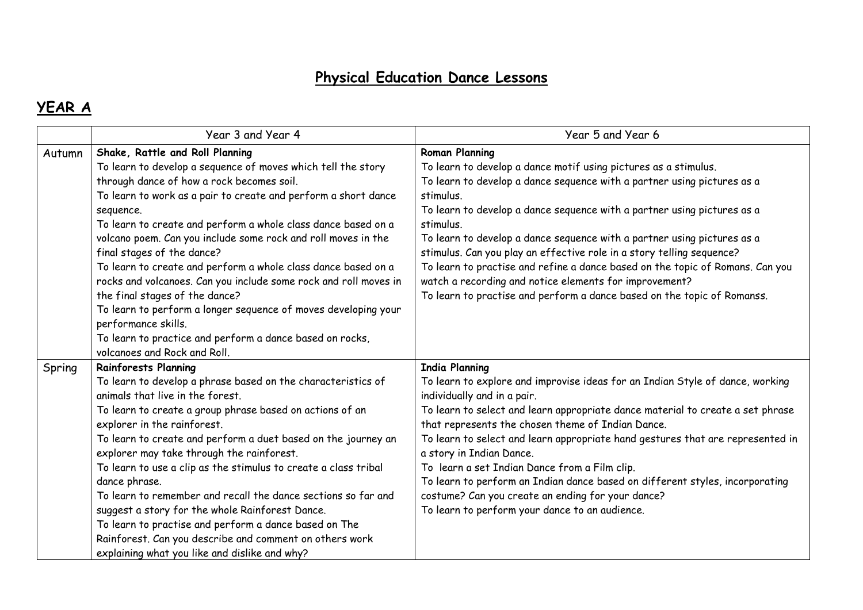#### **Physical Education Dance Lessons**

## **YEAR A**

|        | Year 3 and Year 4                                                | Year 5 and Year 6                                                              |
|--------|------------------------------------------------------------------|--------------------------------------------------------------------------------|
| Autumn | Shake, Rattle and Roll Planning                                  | <b>Roman Planning</b>                                                          |
|        | To learn to develop a sequence of moves which tell the story     | To learn to develop a dance motif using pictures as a stimulus.                |
|        | through dance of how a rock becomes soil.                        | To learn to develop a dance sequence with a partner using pictures as a        |
|        | To learn to work as a pair to create and perform a short dance   | stimulus.                                                                      |
|        | sequence.                                                        | To learn to develop a dance sequence with a partner using pictures as a        |
|        | To learn to create and perform a whole class dance based on a    | stimulus.                                                                      |
|        | volcano poem. Can you include some rock and roll moves in the    | To learn to develop a dance sequence with a partner using pictures as a        |
|        | final stages of the dance?                                       | stimulus. Can you play an effective role in a story telling sequence?          |
|        | To learn to create and perform a whole class dance based on a    | To learn to practise and refine a dance based on the topic of Romans. Can you  |
|        | rocks and volcanoes. Can you include some rock and roll moves in | watch a recording and notice elements for improvement?                         |
|        | the final stages of the dance?                                   | To learn to practise and perform a dance based on the topic of Romanss.        |
|        | To learn to perform a longer sequence of moves developing your   |                                                                                |
|        | performance skills.                                              |                                                                                |
|        | To learn to practice and perform a dance based on rocks,         |                                                                                |
|        | volcanoes and Rock and Roll.                                     |                                                                                |
| Spring | <b>Rainforests Planning</b>                                      | <b>India Planning</b>                                                          |
|        | To learn to develop a phrase based on the characteristics of     | To learn to explore and improvise ideas for an Indian Style of dance, working  |
|        | animals that live in the forest.                                 | individually and in a pair.                                                    |
|        | To learn to create a group phrase based on actions of an         | To learn to select and learn appropriate dance material to create a set phrase |
|        | explorer in the rainforest.                                      | that represents the chosen theme of Indian Dance.                              |
|        | To learn to create and perform a duet based on the journey an    | To learn to select and learn appropriate hand gestures that are represented in |
|        | explorer may take through the rainforest.                        | a story in Indian Dance.                                                       |
|        | To learn to use a clip as the stimulus to create a class tribal  | To learn a set Indian Dance from a Film clip.                                  |
|        | dance phrase.                                                    | To learn to perform an Indian dance based on different styles, incorporating   |
|        | To learn to remember and recall the dance sections so far and    | costume? Can you create an ending for your dance?                              |
|        | suggest a story for the whole Rainforest Dance.                  | To learn to perform your dance to an audience.                                 |
|        | To learn to practise and perform a dance based on The            |                                                                                |
|        | Rainforest. Can you describe and comment on others work          |                                                                                |
|        | explaining what you like and dislike and why?                    |                                                                                |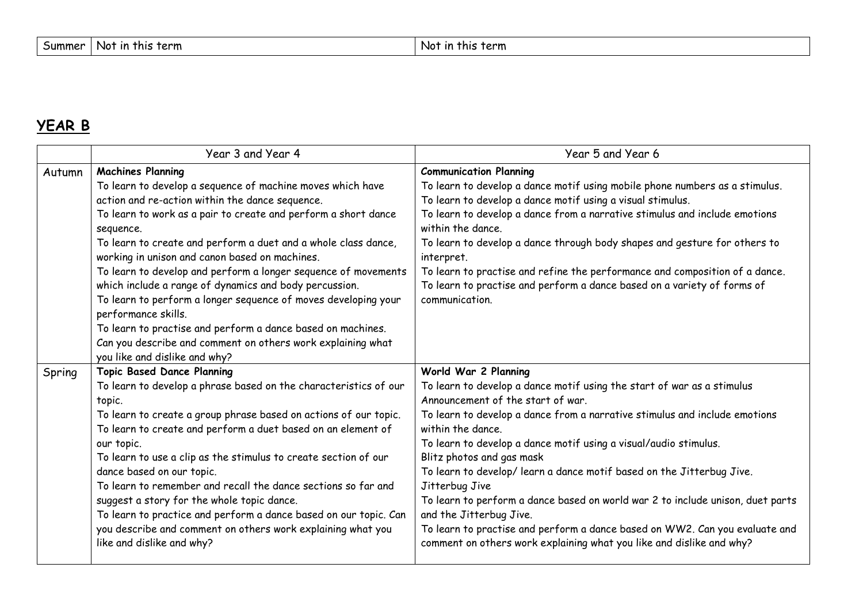# **YEAR B**

|        | Year 3 and Year 4                                                                                                                                                                                                                                                                                                                                                                                                                                                                                                                                                                                                                                                                                                                | Year 5 and Year 6                                                                                                                                                                                                                                                                                                                                                                                                                                                                                                                                                                                                                                                                                      |
|--------|----------------------------------------------------------------------------------------------------------------------------------------------------------------------------------------------------------------------------------------------------------------------------------------------------------------------------------------------------------------------------------------------------------------------------------------------------------------------------------------------------------------------------------------------------------------------------------------------------------------------------------------------------------------------------------------------------------------------------------|--------------------------------------------------------------------------------------------------------------------------------------------------------------------------------------------------------------------------------------------------------------------------------------------------------------------------------------------------------------------------------------------------------------------------------------------------------------------------------------------------------------------------------------------------------------------------------------------------------------------------------------------------------------------------------------------------------|
| Autumn | <b>Machines Planning</b><br>To learn to develop a sequence of machine moves which have<br>action and re-action within the dance sequence.<br>To learn to work as a pair to create and perform a short dance<br>sequence.<br>To learn to create and perform a duet and a whole class dance,<br>working in unison and canon based on machines.<br>To learn to develop and perform a longer sequence of movements<br>which include a range of dynamics and body percussion.<br>To learn to perform a longer sequence of moves developing your<br>performance skills.<br>To learn to practise and perform a dance based on machines.<br>Can you describe and comment on others work explaining what<br>you like and dislike and why? | <b>Communication Planning</b><br>To learn to develop a dance motif using mobile phone numbers as a stimulus.<br>To learn to develop a dance motif using a visual stimulus.<br>To learn to develop a dance from a narrative stimulus and include emotions<br>within the dance.<br>To learn to develop a dance through body shapes and gesture for others to<br>interpret.<br>To learn to practise and refine the performance and composition of a dance.<br>To learn to practise and perform a dance based on a variety of forms of<br>communication.                                                                                                                                                   |
| Spring | <b>Topic Based Dance Planning</b><br>To learn to develop a phrase based on the characteristics of our<br>topic.<br>To learn to create a group phrase based on actions of our topic.<br>To learn to create and perform a duet based on an element of<br>our topic.<br>To learn to use a clip as the stimulus to create section of our<br>dance based on our topic.<br>To learn to remember and recall the dance sections so far and<br>suggest a story for the whole topic dance.<br>To learn to practice and perform a dance based on our topic. Can<br>you describe and comment on others work explaining what you<br>like and dislike and why?                                                                                 | World War 2 Planning<br>To learn to develop a dance motif using the start of war as a stimulus<br>Announcement of the start of war.<br>To learn to develop a dance from a narrative stimulus and include emotions<br>within the dance.<br>To learn to develop a dance motif using a visual/audio stimulus.<br>Blitz photos and gas mask<br>To learn to develop/ learn a dance motif based on the Jitterbug Jive.<br>Jitterbug Jive<br>To learn to perform a dance based on world war 2 to include unison, duet parts<br>and the Jitterbug Jive.<br>To learn to practise and perform a dance based on WW2. Can you evaluate and<br>comment on others work explaining what you like and dislike and why? |